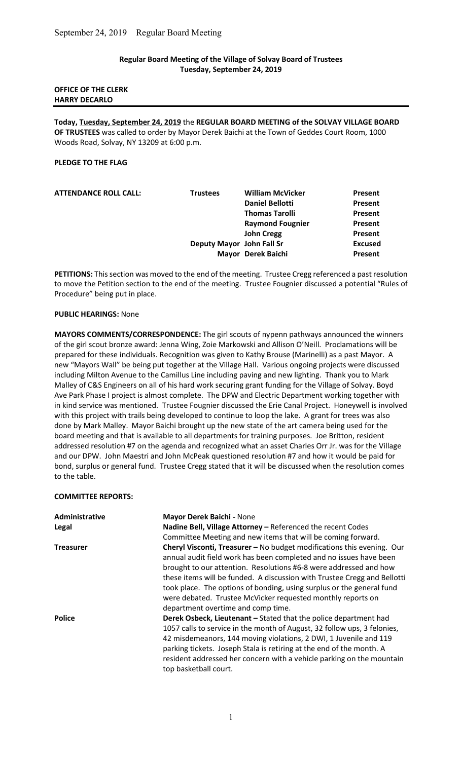## Regular Board Meeting of the Village of Solvay Board of Trustees Tuesday, September 24, 2019

# OFFICE OF THE CLERK HARRY DECARLO

Today, Tuesday, September 24, 2019 the REGULAR BOARD MEETING of the SOLVAY VILLAGE BOARD OF TRUSTEES was called to order by Mayor Derek Baichi at the Town of Geddes Court Room, 1000 Woods Road, Solvay, NY 13209 at 6:00 p.m.

#### PLEDGE TO THE FLAG

| Present        |
|----------------|
| Present        |
| Present        |
| Present        |
| <b>Present</b> |
| <b>Excused</b> |
| Present        |
|                |

PETITIONS: This section was moved to the end of the meeting. Trustee Cregg referenced a past resolution to move the Petition section to the end of the meeting. Trustee Fougnier discussed a potential "Rules of Procedure" being put in place.

## PUBLIC HEARINGS: None

MAYORS COMMENTS/CORRESPONDENCE: The girl scouts of nypenn pathways announced the winners of the girl scout bronze award: Jenna Wing, Zoie Markowski and Allison O'Neill. Proclamations will be prepared for these individuals. Recognition was given to Kathy Brouse (Marinelli) as a past Mayor. A new "Mayors Wall" be being put together at the Village Hall. Various ongoing projects were discussed including Milton Avenue to the Camillus Line including paving and new lighting. Thank you to Mark Malley of C&S Engineers on all of his hard work securing grant funding for the Village of Solvay. Boyd Ave Park Phase I project is almost complete. The DPW and Electric Department working together with in kind service was mentioned. Trustee Fougnier discussed the Erie Canal Project. Honeywell is involved with this project with trails being developed to continue to loop the lake. A grant for trees was also done by Mark Malley. Mayor Baichi brought up the new state of the art camera being used for the board meeting and that is available to all departments for training purposes. Joe Britton, resident addressed resolution #7 on the agenda and recognized what an asset Charles Orr Jr. was for the Village and our DPW. John Maestri and John McPeak questioned resolution #7 and how it would be paid for bond, surplus or general fund. Trustee Cregg stated that it will be discussed when the resolution comes to the table.

#### COMMITTEE REPORTS:

| Administrative   | Mayor Derek Baichi - None                                                                                                                                                                                                                                                                                                                                                                                                                                                   |  |  |
|------------------|-----------------------------------------------------------------------------------------------------------------------------------------------------------------------------------------------------------------------------------------------------------------------------------------------------------------------------------------------------------------------------------------------------------------------------------------------------------------------------|--|--|
| Legal            | Nadine Bell, Village Attorney - Referenced the recent Codes                                                                                                                                                                                                                                                                                                                                                                                                                 |  |  |
|                  | Committee Meeting and new items that will be coming forward.                                                                                                                                                                                                                                                                                                                                                                                                                |  |  |
| <b>Treasurer</b> | Cheryl Visconti, Treasurer - No budget modifications this evening. Our<br>annual audit field work has been completed and no issues have been<br>brought to our attention. Resolutions #6-8 were addressed and how<br>these items will be funded. A discussion with Trustee Cregg and Bellotti<br>took place. The options of bonding, using surplus or the general fund<br>were debated. Trustee McVicker requested monthly reports on<br>department overtime and comp time. |  |  |
| <b>Police</b>    | Derek Osbeck, Lieutenant - Stated that the police department had<br>1057 calls to service in the month of August, 32 follow ups, 3 felonies,<br>42 misdemeanors, 144 moving violations, 2 DWI, 1 Juvenile and 119<br>parking tickets. Joseph Stala is retiring at the end of the month. A<br>resident addressed her concern with a vehicle parking on the mountain<br>top basketball court.                                                                                 |  |  |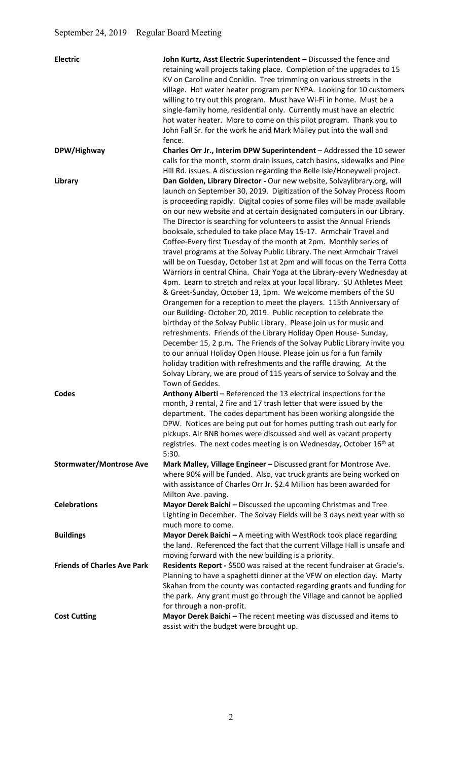| <b>Electric</b>                    | John Kurtz, Asst Electric Superintendent - Discussed the fence and<br>retaining wall projects taking place. Completion of the upgrades to 15<br>KV on Caroline and Conklin. Tree trimming on various streets in the<br>village. Hot water heater program per NYPA. Looking for 10 customers<br>willing to try out this program. Must have Wi-Fi in home. Must be a<br>single-family home, residential only. Currently must have an electric<br>hot water heater. More to come on this pilot program. Thank you to<br>John Fall Sr. for the work he and Mark Malley put into the wall and<br>fence.                                                                                                                                                                                                                                                                                                                                                                                                                                                                                                                                                                                                                                                                                                                                                   |
|------------------------------------|------------------------------------------------------------------------------------------------------------------------------------------------------------------------------------------------------------------------------------------------------------------------------------------------------------------------------------------------------------------------------------------------------------------------------------------------------------------------------------------------------------------------------------------------------------------------------------------------------------------------------------------------------------------------------------------------------------------------------------------------------------------------------------------------------------------------------------------------------------------------------------------------------------------------------------------------------------------------------------------------------------------------------------------------------------------------------------------------------------------------------------------------------------------------------------------------------------------------------------------------------------------------------------------------------------------------------------------------------|
| DPW/Highway                        | Charles Orr Jr., Interim DPW Superintendent - Addressed the 10 sewer<br>calls for the month, storm drain issues, catch basins, sidewalks and Pine                                                                                                                                                                                                                                                                                                                                                                                                                                                                                                                                                                                                                                                                                                                                                                                                                                                                                                                                                                                                                                                                                                                                                                                                    |
| Library                            | Hill Rd. issues. A discussion regarding the Belle Isle/Honeywell project.<br>Dan Golden, Library Director - Our new website, Solvaylibrary.org, will<br>launch on September 30, 2019. Digitization of the Solvay Process Room<br>is proceeding rapidly. Digital copies of some files will be made available<br>on our new website and at certain designated computers in our Library.<br>The Director is searching for volunteers to assist the Annual Friends<br>booksale, scheduled to take place May 15-17. Armchair Travel and<br>Coffee-Every first Tuesday of the month at 2pm. Monthly series of<br>travel programs at the Solvay Public Library. The next Armchair Travel<br>will be on Tuesday, October 1st at 2pm and will focus on the Terra Cotta<br>Warriors in central China. Chair Yoga at the Library-every Wednesday at<br>4pm. Learn to stretch and relax at your local library. SU Athletes Meet<br>& Greet-Sunday, October 13, 1pm. We welcome members of the SU<br>Orangemen for a reception to meet the players. 115th Anniversary of<br>our Building-October 20, 2019. Public reception to celebrate the<br>birthday of the Solvay Public Library. Please join us for music and<br>refreshments. Friends of the Library Holiday Open House-Sunday,<br>December 15, 2 p.m. The Friends of the Solvay Public Library invite you |
|                                    | to our annual Holiday Open House. Please join us for a fun family<br>holiday tradition with refreshments and the raffle drawing. At the<br>Solvay Library, we are proud of 115 years of service to Solvay and the<br>Town of Geddes.                                                                                                                                                                                                                                                                                                                                                                                                                                                                                                                                                                                                                                                                                                                                                                                                                                                                                                                                                                                                                                                                                                                 |
| <b>Codes</b>                       | Anthony Alberti - Referenced the 13 electrical inspections for the<br>month, 3 rental, 2 fire and 17 trash letter that were issued by the<br>department. The codes department has been working alongside the<br>DPW. Notices are being put out for homes putting trash out early for<br>pickups. Air BNB homes were discussed and well as vacant property<br>registries. The next codes meeting is on Wednesday, October 16th at<br>5:30.                                                                                                                                                                                                                                                                                                                                                                                                                                                                                                                                                                                                                                                                                                                                                                                                                                                                                                            |
| <b>Stormwater/Montrose Ave</b>     | Mark Malley, Village Engineer - Discussed grant for Montrose Ave.<br>where 90% will be funded. Also, vac truck grants are being worked on<br>with assistance of Charles Orr Jr. \$2.4 Million has been awarded for<br>Milton Ave. paving.                                                                                                                                                                                                                                                                                                                                                                                                                                                                                                                                                                                                                                                                                                                                                                                                                                                                                                                                                                                                                                                                                                            |
| <b>Celebrations</b>                | Mayor Derek Baichi - Discussed the upcoming Christmas and Tree<br>Lighting in December. The Solvay Fields will be 3 days next year with so<br>much more to come.                                                                                                                                                                                                                                                                                                                                                                                                                                                                                                                                                                                                                                                                                                                                                                                                                                                                                                                                                                                                                                                                                                                                                                                     |
| <b>Buildings</b>                   | Mayor Derek Baichi - A meeting with WestRock took place regarding<br>the land. Referenced the fact that the current Village Hall is unsafe and<br>moving forward with the new building is a priority.                                                                                                                                                                                                                                                                                                                                                                                                                                                                                                                                                                                                                                                                                                                                                                                                                                                                                                                                                                                                                                                                                                                                                |
| <b>Friends of Charles Ave Park</b> | Residents Report - \$500 was raised at the recent fundraiser at Gracie's.<br>Planning to have a spaghetti dinner at the VFW on election day. Marty<br>Skahan from the county was contacted regarding grants and funding for<br>the park. Any grant must go through the Village and cannot be applied<br>for through a non-profit.                                                                                                                                                                                                                                                                                                                                                                                                                                                                                                                                                                                                                                                                                                                                                                                                                                                                                                                                                                                                                    |
| <b>Cost Cutting</b>                | Mayor Derek Baichi - The recent meeting was discussed and items to<br>assist with the budget were brought up.                                                                                                                                                                                                                                                                                                                                                                                                                                                                                                                                                                                                                                                                                                                                                                                                                                                                                                                                                                                                                                                                                                                                                                                                                                        |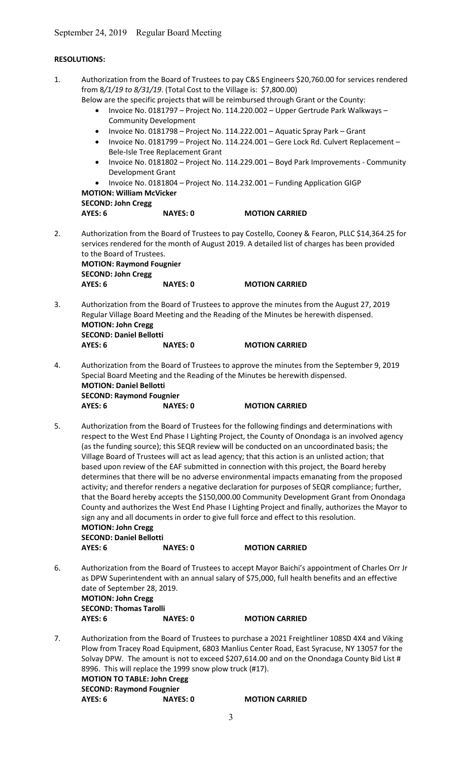| <b>RESOLUTIONS:</b>                                                             |                 |                                                                                                                                                                                                                                                                                                                                                                                                                                                                                                                                                                                                                                                                                                                                                                                                                                                                                                                      |
|---------------------------------------------------------------------------------|-----------------|----------------------------------------------------------------------------------------------------------------------------------------------------------------------------------------------------------------------------------------------------------------------------------------------------------------------------------------------------------------------------------------------------------------------------------------------------------------------------------------------------------------------------------------------------------------------------------------------------------------------------------------------------------------------------------------------------------------------------------------------------------------------------------------------------------------------------------------------------------------------------------------------------------------------|
| $\bullet$<br>$\bullet$<br>$\bullet$<br>$\bullet$<br>$\bullet$<br><b>AYES: 6</b> | <b>NAYES: 0</b> | Authorization from the Board of Trustees to pay C&S Engineers \$20,760.00 for services rendered<br>Below are the specific projects that will be reimbursed through Grant or the County:<br>Invoice No. 0181797 - Project No. 114.220.002 - Upper Gertrude Park Walkways -<br>Invoice No. 0181798 - Project No. 114.222.001 - Aquatic Spray Park - Grant<br>Invoice No. 0181799 - Project No. 114.224.001 - Gere Lock Rd. Culvert Replacement -<br>Invoice No. 0181802 - Project No. 114.229.001 - Boyd Park Improvements - Community<br>Invoice No. 0181804 - Project No. 114.232.001 - Funding Application GIGP<br><b>MOTION CARRIED</b>                                                                                                                                                                                                                                                                            |
|                                                                                 |                 | Authorization from the Board of Trustees to pay Costello, Cooney & Fearon, PLLC \$14,364.25 for<br>services rendered for the month of August 2019. A detailed list of charges has been provided                                                                                                                                                                                                                                                                                                                                                                                                                                                                                                                                                                                                                                                                                                                      |
|                                                                                 |                 | <b>MOTION CARRIED</b>                                                                                                                                                                                                                                                                                                                                                                                                                                                                                                                                                                                                                                                                                                                                                                                                                                                                                                |
| AYES: 6                                                                         | <b>NAYES: 0</b> | Authorization from the Board of Trustees to approve the minutes from the August 27, 2019<br>Regular Village Board Meeting and the Reading of the Minutes be herewith dispensed.<br><b>MOTION CARRIED</b>                                                                                                                                                                                                                                                                                                                                                                                                                                                                                                                                                                                                                                                                                                             |
| AYES: 6                                                                         | <b>NAYES: 0</b> | Authorization from the Board of Trustees to approve the minutes from the September 9, 2019<br><b>MOTION CARRIED</b>                                                                                                                                                                                                                                                                                                                                                                                                                                                                                                                                                                                                                                                                                                                                                                                                  |
| <b>AYES: 6</b>                                                                  | <b>NAYES: 0</b> | Authorization from the Board of Trustees for the following findings and determinations with<br>respect to the West End Phase I Lighting Project, the County of Onondaga is an involved agency<br>(as the funding source); this SEQR review will be conducted on an uncoordinated basis; the<br>Village Board of Trustees will act as lead agency; that this action is an unlisted action; that<br>based upon review of the EAF submitted in connection with this project, the Board hereby<br>determines that there will be no adverse environmental impacts emanating from the proposed<br>activity; and therefor renders a negative declaration for purposes of SEQR compliance; further,<br>that the Board hereby accepts the \$150,000.00 Community Development Grant from Onondaga<br>County and authorizes the West End Phase I Lighting Project and finally, authorizes the Mayor to<br><b>MOTION CARRIED</b> |
|                                                                                 |                 | Authorization from the Board of Trustees to accept Mayor Baichi's appointment of Charles Orr Jr<br>as DPW Superintendent with an annual salary of \$75,000, full health benefits and an effective                                                                                                                                                                                                                                                                                                                                                                                                                                                                                                                                                                                                                                                                                                                    |
|                                                                                 |                 |                                                                                                                                                                                                                                                                                                                                                                                                                                                                                                                                                                                                                                                                                                                                                                                                                                                                                                                      |
|                                                                                 |                 |                                                                                                                                                                                                                                                                                                                                                                                                                                                                                                                                                                                                                                                                                                                                                                                                                                                                                                                      |
|                                                                                 | AYES: 6         | September 24, 2019 Regular Board Meeting<br>from 8/1/19 to 8/31/19. (Total Cost to the Village is: \$7,800.00)<br><b>Community Development</b><br>Bele-Isle Tree Replacement Grant<br>Development Grant<br><b>MOTION: William McVicker</b><br><b>SECOND: John Cregg</b><br>to the Board of Trustees.<br><b>MOTION: Raymond Fougnier</b><br><b>SECOND: John Cregg</b><br><b>NAYES: 0</b><br><b>MOTION: John Cregg</b><br><b>SECOND: Daniel Bellotti</b><br>Special Board Meeting and the Reading of the Minutes be herewith dispensed.<br><b>MOTION: Daniel Bellotti</b><br><b>SECOND: Raymond Fougnier</b><br>sign any and all documents in order to give full force and effect to this resolution.<br><b>MOTION: John Cregg</b><br><b>SECOND: Daniel Bellotti</b><br>date of September 28, 2019.<br><b>MOTION: John Cregg</b><br><b>SECOND: Thomas Tarolli</b>                                                      |

7. Authorization from the Board of Trustees to purchase a 2021 Freightliner 108SD 4X4 and Viking Plow from Tracey Road Equipment, 6803 Manlius Center Road, East Syracuse, NY 13057 for the Solvay DPW. The amount is not to exceed \$207,614.00 and on the Onondaga County Bid List # 8996. This will replace the 1999 snow plow truck (#17). MOTION TO TABLE: John Cregg SECOND: Raymond Fougnier AYES: 6 NAYES: 0 MOTION CARRIED